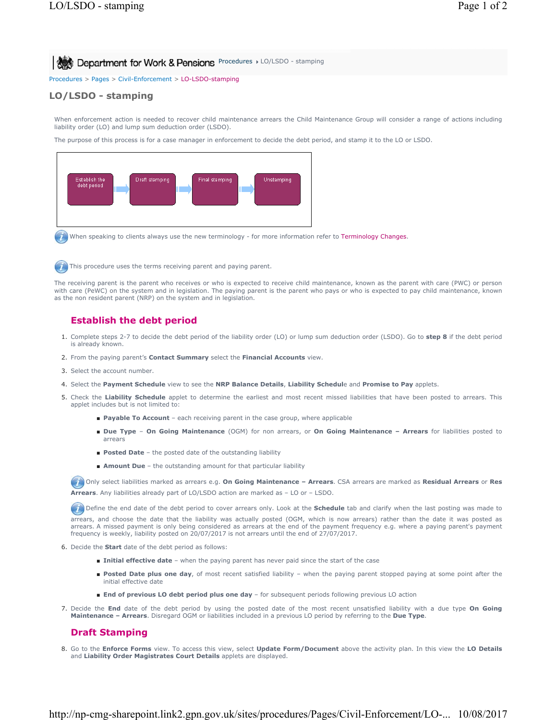Procedures > Pages > Civil-Enforcement > LO-LSDO-stamping

# **LO/LSDO - stamping**

When enforcement action is needed to recover child maintenance arrears the Child Maintenance Group will consider a range of actions including liability order (LO) and lump sum deduction order (LSDO).

The purpose of this process is for a case manager in enforcement to decide the debt period, and stamp it to the LO or LSDO.



When speaking to clients always use the new terminology - for more information refer to Terminology Changes.

This procedure uses the terms receiving parent and paying parent.

The receiving parent is the parent who receives or who is expected to receive child maintenance, known as the parent with care (PWC) or person with care (PeWC) on the system and in legislation. The paying parent is the parent who pays or who is expected to pay child maintenance, known as the non resident parent (NRP) on the system and in legislation.

## **Establish the debt period**

- Complete steps 2-7 to decide the debt period of the liability order (LO) or lump sum deduction order (LSDO). Go to **step 8** if the debt period 1. is already known.
- 2. From the paying parent's **Contact Summary** select the **Financial Accounts** view.
- 3. Select the account number.
- 4. Select the **Payment Schedule** view to see the **NRP Balance Details**, **Liability Schedul**e and **Promise to Pay** applets.
- 5. Check the Liability Schedule applet to determine the earliest and most recent missed liabilities that have been posted to arrears. This applet includes but is not limited to:
	- **Payable To Account** each receiving parent in the case group, where applicable
	- Due Type On Going Maintenance (OGM) for non arrears, or On Going Maintenance Arrears for liabilities posted to arrears
	- **Posted Date** the posted date of the outstanding liability
	- **Amount Due** the outstanding amount for that particular liability

 Only select liabilities marked as arrears e.g. **On Going Maintenance – Arrears**. CSA arrears are marked as **Residual Arrears** or **Res Arrears**. Any liabilities already part of LO/LSDO action are marked as – LO or – LSDO.

**(1)** Define the end date of the debt period to cover arrears only. Look at the **Schedule** tab and clarify when the last posting was made to arrears, and choose the date that the liability was actually posted (OGM, which is now arrears) rather than the date it was posted as<br>arrears. A missed payment is only being considered as arrears at the end of the payment frequency is weekly, liability posted on 20/07/2017 is not arrears until the end of 27/07/2017.

- 6. Decide the **Start** date of the debt period as follows:
	- **Initial effective date** when the paying parent has never paid since the start of the case
	- Posted Date plus one day, of most recent satisfied liability when the paying parent stopped paying at some point after the initial effective date
	- **End of previous LO debt period plus one day** for subsequent periods following previous LO action
- Decide the **End** date of the debt period by using the posted date of the most recent unsatisfied liability with a due type **On Going**  7. **Maintenance – Arrears**. Disregard OGM or liabilities included in a previous LO period by referring to the **Due Type**.

#### **Draft Stamping**

Go to the **Enforce Forms** view. To access this view, select **Update Form/Document** above the activity plan. In this view the **LO Details** 8. and **Liability Order Magistrates Court Details** applets are displayed.